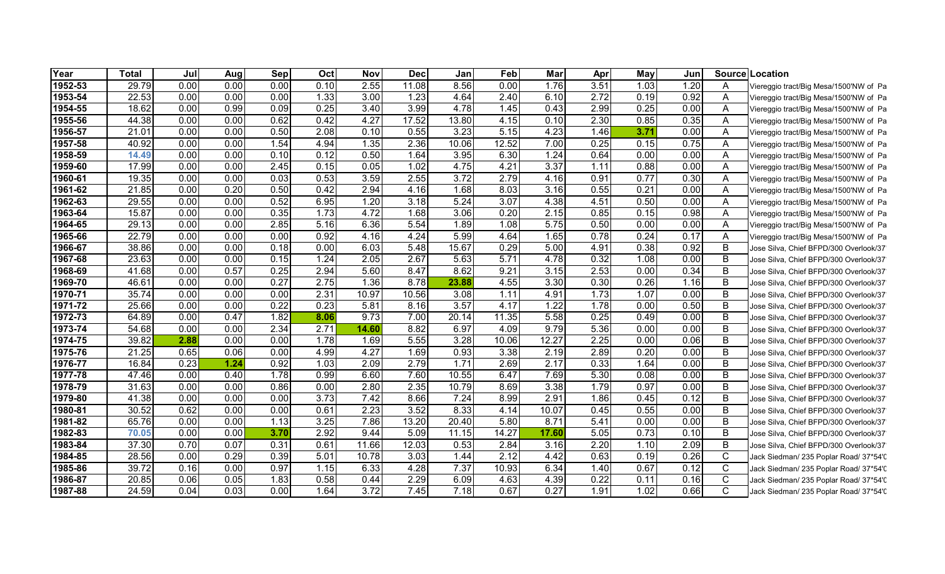| Year        | <b>Total</b> | Jul  | Aug  | Sep  | Oct  | <b>Nov</b> | <b>Dec</b> | Jan   | Feb   | Mar   | Apr  | May  | Jun  |              | Source Location                        |
|-------------|--------------|------|------|------|------|------------|------------|-------|-------|-------|------|------|------|--------------|----------------------------------------|
| 1952-53     | 29.79        | 0.00 | 0.00 | 0.00 | 0.10 | 2.55       | 11.08      | 8.56  | 0.00  | 1.76  | 3.51 | 1.03 | 1.20 | A            | Viereggio tract/Big Mesa/1500'NW of Pa |
| 1953-54     | 22.53        | 0.00 | 0.00 | 0.00 | 1.33 | 3.00       | 1.23       | 4.64  | 2.40  | 6.10  | 2.72 | 0.19 | 0.92 | A            | Viereggio tract/Big Mesa/1500'NW of Pa |
| 1954-55     | 18.62        | 0.00 | 0.99 | 0.09 | 0.25 | 3.40       | 3.99       | 4.78  | 1.45  | 0.43  | 2.99 | 0.25 | 0.00 | A            | Viereggio tract/Big Mesa/1500'NW of Pa |
| 1955-56     | 44.38        | 0.00 | 0.00 | 0.62 | 0.42 | 4.27       | 17.52      | 13.80 | 4.15  | 0.10  | 2.30 | 0.85 | 0.35 | A            | Viereggio tract/Big Mesa/1500'NW of Pa |
| 1956-57     | 21.01        | 0.00 | 0.00 | 0.50 | 2.08 | 0.10       | 0.55       | 3.23  | 5.15  | 4.23  | 1.46 | 3.71 | 0.00 | A            | Viereggio tract/Big Mesa/1500'NW of Pa |
| 1957-58     | 40.92        | 0.00 | 0.00 | 1.54 | 4.94 | 1.35       | 2.36       | 10.06 | 12.52 | 7.00  | 0.25 | 0.15 | 0.75 | A            | Viereggio tract/Big Mesa/1500'NW of Pa |
| 1958-59     | 14.49        | 0.00 | 0.00 | 0.10 | 0.12 | 0.50       | 1.64       | 3.95  | 6.30  | 1.24  | 0.64 | 0.00 | 0.00 | A            | Viereggio tract/Big Mesa/1500'NW of Pa |
| 1959-60     | 17.99        | 0.00 | 0.00 | 2.45 | 0.15 | 0.05       | 1.02       | 4.75  | 4.21  | 3.37  | 1.11 | 0.88 | 0.00 | A            | Viereggio tract/Big Mesa/1500'NW of Pa |
| 1960-61     | 19.35        | 0.00 | 0.00 | 0.03 | 0.53 | 3.59       | 2.55       | 3.72  | 2.79  | 4.16  | 0.91 | 0.77 | 0.30 | A            | Viereggio tract/Big Mesa/1500'NW of Pa |
| $1961 - 62$ | 21.85        | 0.00 | 0.20 | 0.50 | 0.42 | 2.94       | 4.16       | 1.68  | 8.03  | 3.16  | 0.55 | 0.21 | 0.00 | A            | Viereggio tract/Big Mesa/1500'NW of Pa |
| 1962-63     | 29.55        | 0.00 | 0.00 | 0.52 | 6.95 | 1.20       | 3.18       | 5.24  | 3.07  | 4.38  | 4.51 | 0.50 | 0.00 | A            | Viereggio tract/Big Mesa/1500'NW of Pa |
| 1963-64     | 15.87        | 0.00 | 0.00 | 0.35 | 1.73 | 4.72       | 1.68       | 3.06  | 0.20  | 2.15  | 0.85 | 0.15 | 0.98 | $\mathsf{A}$ | Viereggio tract/Big Mesa/1500'NW of Pa |
| 1964-65     | 29.13        | 0.00 | 0.00 | 2.85 | 5.16 | 6.36       | 5.54       | 1.89  | 1.08  | 5.75  | 0.50 | 0.00 | 0.00 | A            | Viereggio tract/Big Mesa/1500'NW of Pa |
| 1965-66     | 22.79        | 0.00 | 0.00 | 0.00 | 0.92 | 4.16       | 4.24       | 5.99  | 4.64  | 1.65  | 0.78 | 0.24 | 0.17 | $\mathsf{A}$ | Viereggio tract/Big Mesa/1500'NW of Pa |
| 1966-67     | 38.86        | 0.00 | 0.00 | 0.18 | 0.00 | 6.03       | 5.48       | 15.67 | 0.29  | 5.00  | 4.91 | 0.38 | 0.92 | B            | Jose Silva, Chief BFPD/300 Overlook/37 |
| 1967-68     | 23.63        | 0.00 | 0.00 | 0.15 | 1.24 | 2.05       | 2.67       | 5.63  | 5.71  | 4.78  | 0.32 | 1.08 | 0.00 | B            | Jose Silva, Chief BFPD/300 Overlook/37 |
| 1968-69     | 41.68        | 0.00 | 0.57 | 0.25 | 2.94 | 5.60       | 8.47       | 8.62  | 9.21  | 3.15  | 2.53 | 0.00 | 0.34 | B            | Jose Silva, Chief BFPD/300 Overlook/37 |
| 1969-70     | 46.61        | 0.00 | 0.00 | 0.27 | 2.75 | 1.36       | 8.78       | 23.88 | 4.55  | 3.30  | 0.30 | 0.26 | 1.16 | B            | Jose Silva, Chief BFPD/300 Overlook/37 |
| 1970-71     | 35.74        | 0.00 | 0.00 | 0.00 | 2.31 | 10.97      | 10.56      | 3.08  | 1.11  | 4.91  | 1.73 | 1.07 | 0.00 | B            | Jose Silva, Chief BFPD/300 Overlook/37 |
| 1971-72     | 25.66        | 0.00 | 0.00 | 0.22 | 0.23 | 5.81       | 8.16       | 3.57  | 4.17  | 1.22  | 1.78 | 0.00 | 0.50 | B            | Jose Silva, Chief BFPD/300 Overlook/37 |
| 1972-73     | 64.89        | 0.00 | 0.47 | 1.82 | 8.06 | 9.73       | 7.00       | 20.14 | 11.35 | 5.58  | 0.25 | 0.49 | 0.00 | B            | Jose Silva, Chief BFPD/300 Overlook/37 |
| 1973-74     | 54.68        | 0.00 | 0.00 | 2.34 | 2.71 | 14.60      | 8.82       | 6.97  | 4.09  | 9.79  | 5.36 | 0.00 | 0.00 | B            | Jose Silva, Chief BFPD/300 Overlook/37 |
| 1974-75     | 39.82        | 2.88 | 0.00 | 0.00 | 1.78 | 1.69       | 5.55       | 3.28  | 10.06 | 12.27 | 2.25 | 0.00 | 0.06 | B            | Jose Silva, Chief BFPD/300 Overlook/37 |
| 1975-76     | 21.25        | 0.65 | 0.06 | 0.00 | 4.99 | 4.27       | 1.69       | 0.93  | 3.38  | 2.19  | 2.89 | 0.20 | 0.00 | B            | Jose Silva, Chief BFPD/300 Overlook/37 |
| 1976-77     | 16.84        | 0.23 | 1.24 | 0.92 | 1.03 | 2.09       | 2.79       | 1.71  | 2.69  | 2.17  | 0.33 | 1.64 | 0.00 | B            | Jose Silva, Chief BFPD/300 Overlook/37 |
| 1977-78     | 47.46        | 0.00 | 0.40 | 1.78 | 0.99 | 6.60       | 7.60       | 10.55 | 6.47  | 7.69  | 5.30 | 0.08 | 0.00 | B            | Jose Silva, Chief BFPD/300 Overlook/37 |
| 1978-79     | 31.63        | 0.00 | 0.00 | 0.86 | 0.00 | 2.80       | 2.35       | 10.79 | 8.69  | 3.38  | 1.79 | 0.97 | 0.00 | B            | Jose Silva, Chief BFPD/300 Overlook/37 |
| 1979-80     | 41.38        | 0.00 | 0.00 | 0.00 | 3.73 | 7.42       | 8.66       | 7.24  | 8.99  | 2.91  | 1.86 | 0.45 | 0.12 | B            | Jose Silva, Chief BFPD/300 Overlook/37 |
| 1980-81     | 30.52        | 0.62 | 0.00 | 0.00 | 0.61 | 2.23       | 3.52       | 8.33  | 4.14  | 10.07 | 0.45 | 0.55 | 0.00 | B            | Jose Silva, Chief BFPD/300 Overlook/37 |
| 1981-82     | 65.76        | 0.00 | 0.00 | 1.13 | 3.25 | 7.86       | 13.20      | 20.40 | 5.80  | 8.71  | 5.41 | 0.00 | 0.00 | B            | Jose Silva, Chief BFPD/300 Overlook/37 |
| 1982-83     | 70.05        | 0.00 | 0.00 | 3.70 | 2.92 | 9.44       | 5.09       | 11.15 | 14.27 | 17.60 | 5.05 | 0.73 | 0.10 | B            | Jose Silva, Chief BFPD/300 Overlook/37 |
| 1983-84     | 37.30        | 0.70 | 0.07 | 0.31 | 0.61 | 11.66      | 12.03      | 0.53  | 2.84  | 3.16  | 2.20 | 1.10 | 2.09 | B            | Jose Silva, Chief BFPD/300 Overlook/37 |
| 1984-85     | 28.56        | 0.00 | 0.29 | 0.39 | 5.01 | 10.78      | 3.03       | 1.44  | 2.12  | 4.42  | 0.63 | 0.19 | 0.26 | $\mathsf{C}$ | Jack Siedman/ 235 Poplar Road/ 37*54'0 |
| 1985-86     | 39.72        | 0.16 | 0.00 | 0.97 | 1.15 | 6.33       | 4.28       | 7.37  | 10.93 | 6.34  | 1.40 | 0.67 | 0.12 | C            | Jack Siedman/ 235 Poplar Road/ 37*54'0 |
| 1986-87     | 20.85        | 0.06 | 0.05 | 1.83 | 0.58 | 0.44       | 2.29       | 6.09  | 4.63  | 4.39  | 0.22 | 0.11 | 0.16 | C            | Jack Siedman/ 235 Poplar Road/ 37*54'0 |
| 1987-88     | 24.59        | 0.04 | 0.03 | 0.00 | 1.64 | 3.72       | 7.45       | 7.18  | 0.67  | 0.27  | 1.91 | 1.02 | 0.66 | C            | Jack Siedman/ 235 Poplar Road/ 37*54'0 |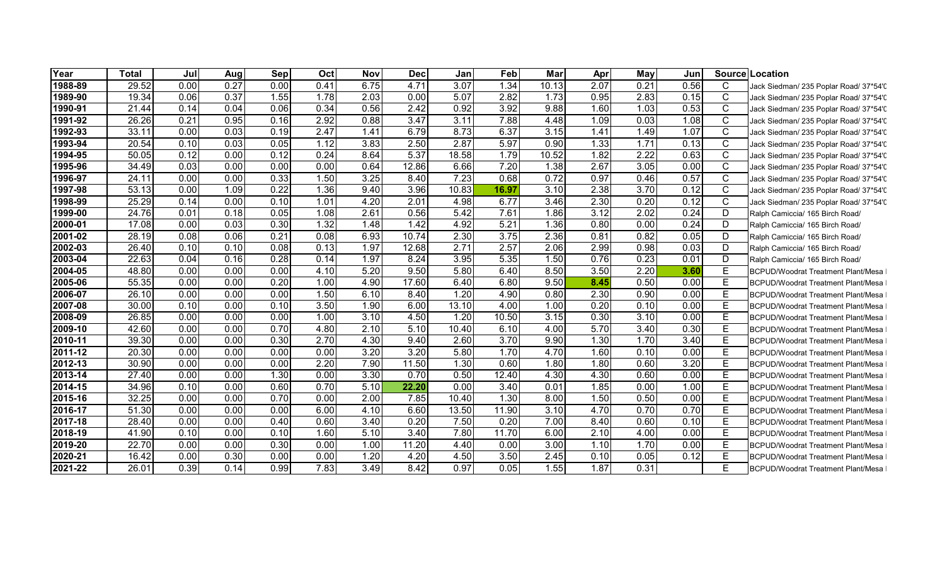| Year        | <b>Total</b> | Jul  | Aug  | <b>Sep</b> | Oct  | Nov  | <b>Dec</b>        | Jan   | Feb   | Mar   | Apr  | May  | Jun  |              | Source Location                            |
|-------------|--------------|------|------|------------|------|------|-------------------|-------|-------|-------|------|------|------|--------------|--------------------------------------------|
| 1988-89     | 29.52        | 0.00 | 0.27 | 0.00       | 0.41 | 6.75 | 4.71              | 3.07  | 1.34  | 10.13 | 2.07 | 0.21 | 0.56 | C            | Jack Siedman/ 235 Poplar Road/ 37*54'0     |
| 1989-90     | 19.34        | 0.06 | 0.37 | 1.55       | 1.78 | 2.03 | 0.00              | 5.07  | 2.82  | 1.73  | 0.95 | 2.83 | 0.15 | $\mathsf{C}$ | Jack Siedman/ 235 Poplar Road/ 37*54'0     |
| 1990-91     | 21.44        | 0.14 | 0.04 | 0.06       | 0.34 | 0.56 | 2.42              | 0.92  | 3.92  | 9.88  | 1.60 | 1.03 | 0.53 | $\mathsf{C}$ | Jack Siedman/ 235 Poplar Road/ 37*54'0     |
| 1991-92     | 26.26        | 0.21 | 0.95 | 0.16       | 2.92 | 0.88 | 3.47              | 3.11  | 7.88  | 4.48  | 1.09 | 0.03 | 1.08 | $\mathsf{C}$ | Jack Siedman/ 235 Poplar Road/ 37*54'0     |
| 1992-93     | 33.11        | 0.00 | 0.03 | 0.19       | 2.47 | 1.41 | 6.79              | 8.73  | 6.37  | 3.15  | 1.41 | 1.49 | 1.07 | $\mathsf{C}$ | Jack Siedman/ 235 Poplar Road/ 37*54'0     |
| 1993-94     | 20.54        | 0.10 | 0.03 | 0.05       | 1.12 | 3.83 | 2.50              | 2.87  | 5.97  | 0.90  | 1.33 | 1.71 | 0.13 | $\mathsf{C}$ | Jack Siedman/ 235 Poplar Road/ 37*54'0     |
| 1994-95     | 50.05        | 0.12 | 0.00 | 0.12       | 0.24 | 8.64 | 5.37              | 18.58 | 1.79  | 10.52 | 1.82 | 2.22 | 0.63 | C            | Jack Siedman/ 235 Poplar Road/ 37*54'0     |
| 1995-96     | 34.49        | 0.03 | 0.00 | 0.00       | 0.00 | 0.64 | 12.86             | 6.66  | 7.20  | 1.38  | 2.67 | 3.05 | 0.00 | C            | Jack Siedman/ 235 Poplar Road/ 37*54'0     |
| 1996-97     | 24.11        | 0.00 | 0.00 | 0.33       | 1.50 | 3.25 | 8.40              | 7.23  | 0.68  | 0.72  | 0.97 | 0.46 | 0.57 | $\mathsf{C}$ | Jack Siedman/ 235 Poplar Road/ 37*54'0     |
| 1997-98     | 53.13        | 0.00 | 1.09 | 0.22       | 1.36 | 9.40 | 3.96              | 10.83 | 16.97 | 3.10  | 2.38 | 3.70 | 0.12 | $\mathsf{C}$ | Jack Siedman/ 235 Poplar Road/ 37*54'0     |
| 1998-99     | 25.29        | 0.14 | 0.00 | 0.10       | 1.01 | 4.20 | 2.01              | 4.98  | 6.77  | 3.46  | 2.30 | 0.20 | 0.12 | $\mathsf{C}$ | Jack Siedman/ 235 Poplar Road/ 37*54'0     |
| 1999-00     | 24.76        | 0.01 | 0.18 | 0.05       | 1.08 | 2.61 | 0.56              | 5.42  | 7.61  | 1.86  | 3.12 | 2.02 | 0.24 | D            | Ralph Camiccia/ 165 Birch Road/            |
| 2000-01     | 17.08        | 0.00 | 0.03 | 0.30       | 1.32 | 1.48 | 1.42              | 4.92  | 5.21  | 1.36  | 0.80 | 0.00 | 0.24 | D            | Ralph Camiccia/ 165 Birch Road/            |
| 2001-02     | 28.19        | 0.08 | 0.06 | 0.21       | 0.08 | 6.93 | 10.74             | 2.30  | 3.75  | 2.36  | 0.81 | 0.82 | 0.05 | D            | Ralph Camiccia/ 165 Birch Road/            |
| 2002-03     | 26.40        | 0.10 | 0.10 | 0.08       | 0.13 | 1.97 | 12.68             | 2.71  | 2.57  | 2.06  | 2.99 | 0.98 | 0.03 | D            | Ralph Camiccia/ 165 Birch Road/            |
| 2003-04     | 22.63        | 0.04 | 0.16 | 0.28       | 0.14 | 1.97 | 8.24              | 3.95  | 5.35  | 1.50  | 0.76 | 0.23 | 0.01 | D            | Ralph Camiccia/ 165 Birch Road/            |
| 2004-05     | 48.80        | 0.00 | 0.00 | 0.00       | 4.10 | 5.20 | 9.50              | 5.80  | 6.40  | 8.50  | 3.50 | 2.20 | 3.60 | F            | <b>IBCPUD/Woodrat Treatment Plant/Mesa</b> |
| 2005-06     | 55.35        | 0.00 | 0.00 | 0.20       | 1.00 | 4.90 | 17.60             | 6.40  | 6.80  | 9.50  | 8.45 | 0.50 | 0.00 | F            | BCPUD/Woodrat Treatment Plant/Mesa         |
| 2006-07     | 26.10        | 0.00 | 0.00 | 0.00       | 1.50 | 6.10 | 8.40              | 1.20  | 4.90  | 0.80  | 2.30 | 0.90 | 0.00 | F            | <b>IBCPUD/Woodrat Treatment Plant/Mesa</b> |
| 2007-08     | 30.00        | 0.10 | 0.00 | 0.10       | 3.50 | 1.90 | 6.00              | 13.10 | 4.00  | 1.00  | 0.20 | 0.10 | 0.00 | E.           | BCPUD/Woodrat Treatment Plant/Mesa         |
| 2008-09     | 26.85        | 0.00 | 0.00 | 0.00       | 1.00 | 3.10 | 4.50              | 1.20  | 10.50 | 3.15  | 0.30 | 3.10 | 0.00 | E.           | BCPUD/Woodrat Treatment Plant/Mesa         |
| 2009-10     | 42.60        | 0.00 | 0.00 | 0.70       | 4.80 | 2.10 | 5.10              | 10.40 | 6.10  | 4.00  | 5.70 | 3.40 | 0.30 | F            | BCPUD/Woodrat Treatment Plant/Mesa         |
| 2010-11     | 39.30        | 0.00 | 0.00 | 0.30       | 2.70 | 4.30 | 9.40              | 2.60  | 3.70  | 9.90  | 1.30 | 1.70 | 3.40 | Е            | BCPUD/Woodrat Treatment Plant/Mesa         |
| 2011-12     | 20.30        | 0.00 | 0.00 | 0.00       | 0.00 | 3.20 | $\overline{3.20}$ | 5.80  | 1.70  | 4.70  | 1.60 | 0.10 | 0.00 | F            | BCPUD/Woodrat Treatment Plant/Mesa         |
| 2012-13     | 30.90        | 0.00 | 0.00 | 0.00       | 2.20 | 7.90 | 11.50             | 1.30  | 0.60  | 1.80  | 1.80 | 0.60 | 3.20 | E.           | BCPUD/Woodrat Treatment Plant/Mesa         |
| 2013-14     | 27.40        | 0.00 | 0.00 | 1.30       | 0.00 | 3.30 | 0.70              | 0.50  | 12.40 | 4.30  | 4.30 | 0.60 | 0.00 | E.           | BCPUD/Woodrat Treatment Plant/Mesa         |
| 2014-15     | 34.96        | 0.10 | 0.00 | 0.60       | 0.70 | 5.10 | 22.20             | 0.00  | 3.40  | 0.01  | 1.85 | 0.00 | 1.00 | E            | <b>BCPUD/Woodrat Treatment Plant/Mesa</b>  |
| 2015-16     | 32.25        | 0.00 | 0.00 | 0.70       | 0.00 | 2.00 | 7.85              | 10.40 | 1.30  | 8.00  | 1.50 | 0.50 | 0.00 | E.           | BCPUD/Woodrat Treatment Plant/Mesa         |
| 2016-17     | 51.30        | 0.00 | 0.00 | 0.00       | 6.00 | 4.10 | 6.60              | 13.50 | 11.90 | 3.10  | 4.70 | 0.70 | 0.70 | E.           | BCPUD/Woodrat Treatment Plant/Mesa         |
| 2017-18     | 28.40        | 0.00 | 0.00 | 0.40       | 0.60 | 3.40 | 0.20              | 7.50  | 0.20  | 7.00  | 8.40 | 0.60 | 0.10 | F            | BCPUD/Woodrat Treatment Plant/Mesa         |
| 2018-19     | 41.90        | 0.10 | 0.00 | 0.10       | 1.60 | 5.10 | 3.40              | 7.80  | 11.70 | 6.00  | 2.10 | 4.00 | 0.00 | Е            | BCPUD/Woodrat Treatment Plant/Mesa         |
| 2019-20     | 22.70        | 0.00 | 0.00 | 0.30       | 0.00 | 1.00 | 11.20             | 4.40  | 0.00  | 3.00  | 1.10 | 1.70 | 0.00 | F            | <b>BCPUD/Woodrat Treatment Plant/Mesa</b>  |
| 2020-21     | 16.42        | 0.00 | 0.30 | 0.00       | 0.00 | 1.20 | 4.20              | 4.50  | 3.50  | 2.45  | 0.10 | 0.05 | 0.12 | E            | BCPUD/Woodrat Treatment Plant/Mesa         |
| $2021 - 22$ | 26.01        | 0.39 | 0.14 | 0.99       | 7.83 | 3.49 | 8.42              | 0.97  | 0.05  | 1.55  | 1.87 | 0.31 |      | E            | BCPUD/Woodrat Treatment Plant/Mesa         |